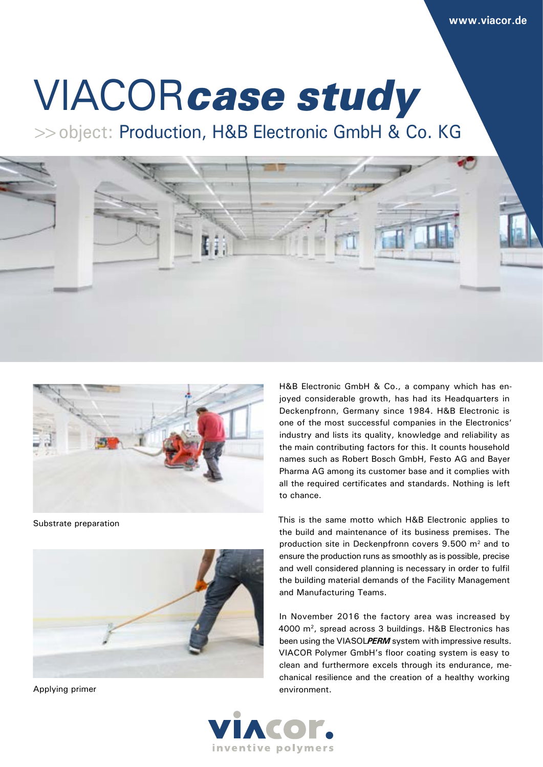# VIACOR*case study*

>>object: Production, H&B Electronic GmbH & Co. KG





Substrate preparation



Applying primer

H&B Electronic GmbH & Co., a company which has enjoyed considerable growth, has had its Headquarters in Deckenpfronn, Germany since 1984. H&B Electronic is one of the most successful companies in the Electronics' industry and lists its quality, knowledge and reliability as the main contributing factors for this. It counts household names such as Robert Bosch GmbH, Festo AG and Bayer Pharma AG among its customer base and it complies with all the required certificates and standards. Nothing is left to chance.

This is the same motto which H&B Electronic applies to the build and maintenance of its business premises. The production site in Deckenpfronn covers 9.500 m2 and to ensure the production runs as smoothly as is possible, precise and well considered planning is necessary in order to fulfil the building material demands of the Facility Management and Manufacturing Teams.

In November 2016 the factory area was increased by 4000 m2, spread across 3 buildings. H&B Electronics has been using the VIASOL*PERM* system with impressive results. VIACOR Polymer GmbH's floor coating system is easy to clean and furthermore excels through its endurance, mechanical resilience and the creation of a healthy working environment.

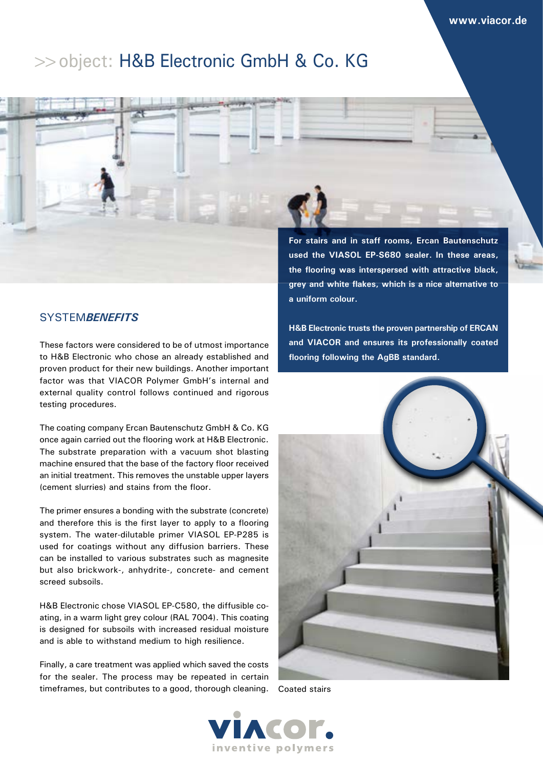# >>object: H&B Electronic GmbH & Co. KG



# SYSTEM*BENEFITS*

These factors were considered to be of utmost importance to H&B Electronic who chose an already established and proven product for their new buildings. Another important factor was that VIACOR Polymer GmbH's internal and external quality control follows continued and rigorous testing procedures.

The coating company Ercan Bautenschutz GmbH & Co. KG once again carried out the flooring work at H&B Electronic. The substrate preparation with a vacuum shot blasting machine ensured that the base of the factory floor received an initial treatment. This removes the unstable upper layers (cement slurries) and stains from the floor.

The primer ensures a bonding with the substrate (concrete) and therefore this is the first layer to apply to a flooring system. The water-dilutable primer VIASOL EP-P285 is used for coatings without any diffusion barriers. These can be installed to various substrates such as magnesite but also brickwork-, anhydrite-, concrete- and cement screed subsoils.

H&B Electronic chose VIASOL EP-C580, the diffusible coating, in a warm light grey colour (RAL 7004). This coating is designed for subsoils with increased residual moisture and is able to withstand medium to high resilience.

Finally, a care treatment was applied which saved the costs for the sealer. The process may be repeated in certain timeframes, but contributes to a good, thorough cleaning. Coated stairs

**the flooring was interspersed with attractive black, grey and white flakes, which is a nice alternative to a uniform colour.**

**H&B Electronic trusts the proven partnership of ERCAN and VIACOR and ensures its professionally coated flooring following the AgBB standard.**



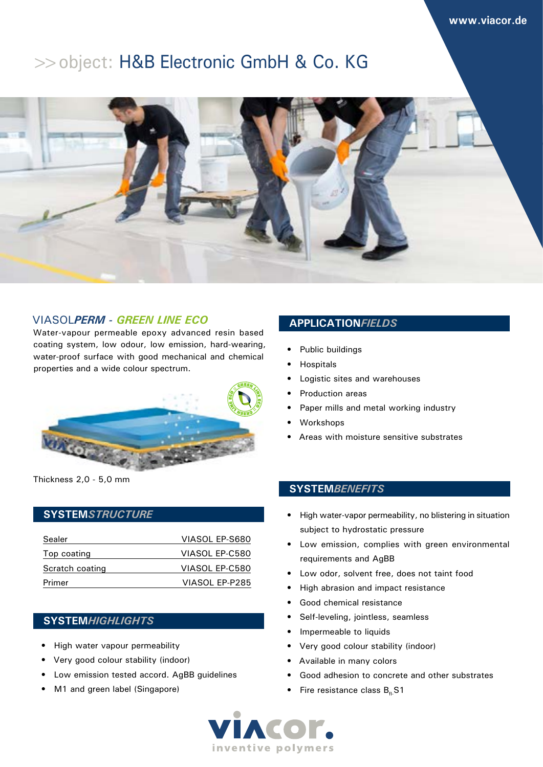# >>object: H&B Electronic GmbH & Co. KG



# VIASOL*PERM - GREEN LINE ECO*

Water-vapour permeable epoxy advanced resin based coating system, low odour, low emission, hard-wearing, water-proof surface with good mechanical and chemical properties and a wide colour spectrum.



Thickness 2,0 - 5,0 mm

### **SYSTEM***STRUCTURE*

| Sealer          | VIASOL EP-S680 |
|-----------------|----------------|
| Top coating     | VIASOL EP-C580 |
| Scratch coating | VIASOL EP-C580 |
| Primer          | VIASOL EP-P285 |

## **SYSTEM***HIGHLIGHTS*

- High water vapour permeability
- Very good colour stability (indoor)
- Low emission tested accord. AgBB guidelines
- M1 and green label (Singapore)

## **APPLICATION***FIELDS*

- Public buildings
- **Hospitals**
- Logistic sites and warehouses
- Production areas
- Paper mills and metal working industry
- Workshops
- Areas with moisture sensitive substrates

## **SYSTEM***BENEFITS*

- High water-vapor permeability, no blistering in situation subject to hydrostatic pressure
- Low emission, complies with green environmental requirements and AgBB
- Low odor, solvent free, does not taint food
- High abrasion and impact resistance
- Good chemical resistance
- Self-leveling, jointless, seamless
- Impermeable to liquids
- Very good colour stability (indoor)
- Available in many colors
- Good adhesion to concrete and other substrates
- Fire resistance class  $B<sub>4</sub>$ S1